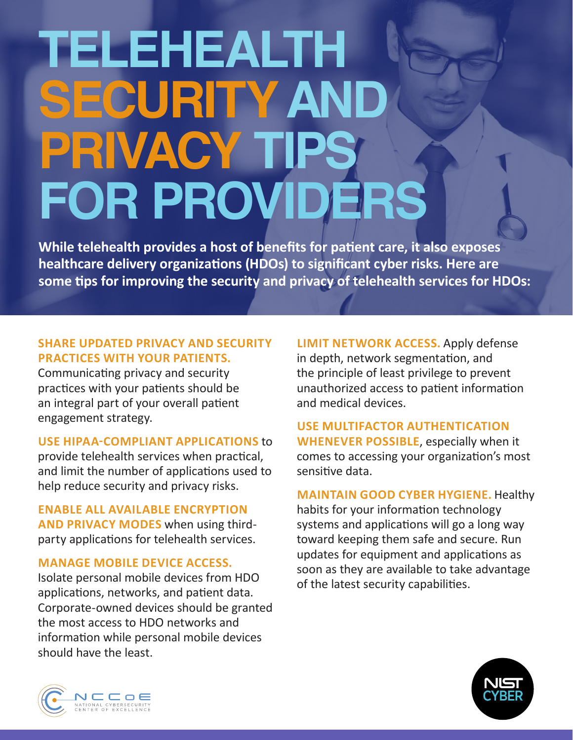# **TELEHEALTH SECURITY AN** PRIVACY T **FOR PROVIDERS**

**While telehealth provides a host of benefits for patient care, it also exposes healthcare delivery organizations (HDOs) to significant cyber risks. Here are some tips for improving the security and privacy of telehealth services for HDOs:** 

## **SHARE UPDATED PRIVACY AND SECURITY PRACTICES WITH YOUR PATIENTS.**

Communicating privacy and security practices with your patients should be an integral part of your overall patient engagement strategy.

#### **USE HIPAA-COMPLIANT APPLICATIONS** to

provide telehealth services when practical, and limit the number of applications used to help reduce security and privacy risks.

**ENABLE ALL AVAILABLE ENCRYPTION AND PRIVACY MODES** when using thirdparty applications for telehealth services.

#### **MANAGE MOBILE DEVICE ACCESS.**

Isolate personal mobile devices from HDO applications, networks, and patient data. Corporate-owned devices should be granted the most access to HDO networks and information while personal mobile devices should have the least.

**LIMIT NETWORK ACCESS.** Apply defense in depth, network segmentation, and the principle of least privilege to prevent unauthorized access to patient information and medical devices.

**USE MULTIFACTOR AUTHENTICATION WHENEVER POSSIBLE**, especially when it comes to accessing your organization's most sensitive data.

#### **MAINTAIN GOOD CYBER HYGIENE.** Healthy

habits for your information technology systems and applications will go a long way toward keeping them safe and secure. Run updates for equipment and applications as soon as they are available to take advantage of the latest security capabilities.